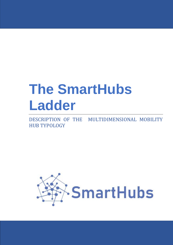# **The SmartHubs Ladder**

DESCRIPTION OF THE MULTIDIMENSIONAL MOBILITY HUB TYPOLOGY

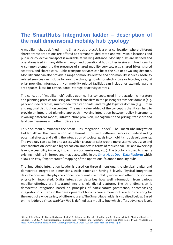## **The SmartHubs Integration ladder – description of the multidimensional mobility hub typology**

A mobility hub, as defined in the SmartHubs project<sup>[1](#page-1-0)</sup>, is a physical location where different shared transport options are offered at permanent, dedicated and well-visible locations and public or collective transport is available at walking distance. Mobility hubs are defined and operationalised in many different ways, and operational hubs differ in size and functionality A common element is the presence of shared mobility services, e.g., shared bikes, shared scooters, and shared cars. Public transport services can be at the hub or at walking distance. Mobility hubs can also provide a range of mobility-related and non-mobility services. Mobility related services can include for example charging points for electric cars or bicycles, a digital pillar providing information. Non-mobility related facilities can include for example waiting area spaces, kiosk for coffee, parcel storage or activity centres.

The concept of "mobility hub" builds upon earlier concepts used in the academic literature and planning practice focussing on physical transfers in the passenger transport domain (e.g. park and ride facilities, multi-modal transfer points) and freight logistics domain (e.g., urban and regional distribution centres). The main value added of the concept is that it can help to provide an integrated planning approach, involving integration between policy instruments involving different modes, infrastructure provision, management and pricing, transport and land use measures and other policy areas.

This document summarises the SmartHubs integration Ladder<sup>1</sup>. The SmartHubs Integration Ladder allows the comparison of different hubs with different services, understanding potential effects, and aiding the integration of societal goals into mobility hub developments. The typology can also help to assess which characteristics create more user value, usage and user satisfaction levels and higher societal impacts in terms of reduced car use and ownership levels, accessibility impacts, impact transport emissions, etc.). The typology is used to classify existing mobility in Europe and made accessible in the [SmartHubs Open Data Platform](https://data.smartmobilityhubs.eu/wiki/Main_Page) which allows an easy "expert crowd" mapping of the operational/planned mobility hubs.

The SmartHubs Integration Ladder is based on three dimensions: the physical, digital and democratic integration dimensions, each dimension having 5 levels. Physical integration describe how well the physical connection of multiple mobility modes and other functions are physically integrated. Digital integration describes how well information from various mobility offerings are integrated into a single digital platform. The third dimension is democratic integration based on principles of participatory governance, encompassing integration of citizens in the development of hubs to create more inclusive hubs catering for the needs of a wide variety of different users. The SmartHubs ladder is visualised below. Based on the ladder, a *Smart Mobility Hub* is defined as a mobility hub which offers advanced levels

<span id="page-1-0"></span><sup>1</sup> Geurs, K.T., Münzel, K., Duran, D., Gkavra, R., Graf, A., Grigolon, A., Hansel, J., Kirchberger, C., Klementschitz, R., Martinez Ramirez, L., Pappers, J., 2022. A multidimensional mobility hub typology and inventory. SmartHubs Deliverable D 2.1. Available at: [https://www.smartmobilityhubs.eu/\\_files/ugd/c54b12\\_819c85702a6442c6bebb18538fb93516.pdf](https://www.smartmobilityhubs.eu/_files/ugd/c54b12_819c85702a6442c6bebb18538fb93516.pdf)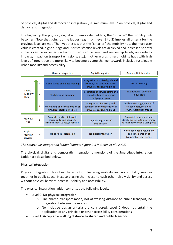of physical, digital and democratic integration (i.e. minimum level 2 on physical, digital and democratic integration).

The higher up the physical, digital and democratic ladders, the "smarter" the mobility hub becomes. Note that going up the ladder (e.g., from level 1 to 2) implies all criteria for the previous level are met. The hypothesis is that the "smarter" the mobility hub, the more user value is created, higher usage and user satisfaction levels are achieved and increased societal impacts can be expected (in terms of reduced car use and ownership levels, accessibility impacts, impact on transport emissions, etc.). In other words, smart mobility hubs with high levels of integration are more likely to become a game changer towards inclusive sustainable urban mobility and accessibility.

|                                 |                | Physical integration                                                                                 | Digital integration                                                                                | Democratic integration                                                                                        |
|---------------------------------|----------------|------------------------------------------------------------------------------------------------------|----------------------------------------------------------------------------------------------------|---------------------------------------------------------------------------------------------------------------|
| Smart<br><b>Mobility</b><br>Hub | 4              | Conflict free and place making                                                                       | Integration of societal goals and<br>policies, and consideration of<br>universal design principles | Social learning                                                                                               |
|                                 | 3              | Visibility and branding                                                                              | Integration of service offers and<br>consideration of universal<br>design principles               | Integration of different<br>knowledge                                                                         |
|                                 | $\overline{2}$ | Wayfinding and consideration of<br>universal design principles                                       | Integration of booking and<br>payment and consideration of<br>universal design principles          | Deliberative engagement of<br>stakeholders, including<br>(vulnerable) user groups                             |
| <b>Mobility</b><br>huh          | 1              | Acceptable walking distance to<br>shared and public transport,<br>minimum inclusive design standards | Digital integration of<br>information                                                              | Appropriate representation of<br>stakeholder interests, no or limited<br>attention for vulnerable user groups |
| Single<br>mobility<br>services  | 0              | No physical integration                                                                              | No digital integration                                                                             | No stakeholder involvement<br>and consideration of<br>(vulnerable) user needs                                 |

*The SmartHubs integration ladder (Source: Figure 2-5 in Geurs et al., 2022)*

The physical, digital and democratic integration dimensions of the SmartHubs Integration Ladder are described below.

#### **Physical integration**

Physical integration describes the effort of clustering mobility and non-mobility services together in public space. Next to placing them close to each other, also visibility and access without physical barriers increase usability and accessibility.

The physical integration ladder comprises the following levels.

- Level 0: **No physical integration.**
	- o One shared transport mode, not at walking distance to public transport, no integration between the modes.
	- o No inclusive design criteria are considered. Level 0 does not entail the application of any principle or other accessibility considerations
- Level 1: **Acceptable walking distance to shared and public transport**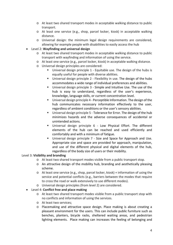- o At least two shared transport modes in acceptable walking distance to public transport.
- o At least one service (e.g., shop, parcel locker, kiosk) in acceptable walking distance.
- o Universal design: the minimum legal design requirements are considered, allowing for example people with disabilities to easily access the hub
- Level 2: **Wayfinding and universal design**
	- o At least two shared transport modes in acceptable walking distance to public transport with wayfinding and information of using the service.
	- o At least one service (e.g., parcel locker, kiosk) in acceptable walking distance.
	- o Universal design principles are considered:
		- Universal design principle 1 Equitable use. The design of the hubs is equally useful for people with diverse abilities.
		- Universal design principle 2 Flexibility in use. The design of the hubs accommodates a wide range of individual preferences and abilities.
		- Universal design principle 3 Simple and Intuitive Use. The use of the hub is easy to understand, regardless of the user's experience, knowledge, language skills, or current concentration level.
		- Universal design principle 4 Perceptible Information. The design of the hub communicates necessary information effectively to the user, regardless of ambient conditions or the user's sensory abilities.
		- Universal design principle 5 Tolerance for Error. The design of the hub minimizes hazards and the adverse consequences of accidental or unintended actions.
		- Universal design principle 6 Low Physical Effort. The different elements of the hub can be reached and used efficiently and comfortably and with a minimum of fatigue.
		- **Universal design principle 7 Size and Space for Approach and Use.** Appropriate size and space are provided for approach, manipulation, and use of the different physical and digital elements of the hub, regardless of the body size of users or their mobility.

#### Level 3: **Visibility and branding**

- o At least two shared transport modes visible from a public transport stop.
- $\circ$  An attractive design of the mobility hub, branding and aesthetically pleasing scheme.
- o At least one service (e.g., shop, parcel locker, kiosk) + information of using the service and potential conflicts (e.g., barriers between the modes that require to cross the road or walk extensively to use different modes).
- o Universal design principles (from level 2) are considered.
- Level 4: **Conflict free and place making**
	- o At least two shared transport modes visible from a public transport stop with no conflicts and information of using the services.
	- o At least two services;
	- o Placemaking and attractive space design. Place making is about creating a pleasant environment for the users. This can include public furniture such as benches, planters, bicycle racks, sheltered waiting areas, and pedestrian lighting elements. Place making can increases the feeling of belonging and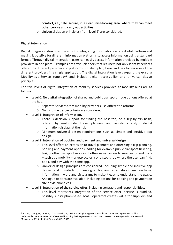comfort, i.e., safe, secure, in a clean, nice-looking area, where they can meet other people and carry out activities

o Universal design principles (from level 2) are considered.

#### **Digital integration**

Digital integration describes the effort of integrating information on one digital platform and making it possible for different information platforms to access information using a standard format. Through digital integration, users can easily access information provided by multiple providers in one place. Examples are travel planners that let users not only identify services offered by different providers or platforms but also plan, book and pay for services of the different providers in a single application. The digital integration levels expand the existing Mobility-as-a-Service topology<sup>[2](#page-4-0)</sup> and include digital accessibility and universal design principles.

The five levels of digital integration of mobility services provided at mobility hubs are as follows:

- Level 0: **No digital integration** of shared and public transport mode options offered at the hub.
	- o Separate services from mobility providers use different platforms.
	- o No inclusive design criteria are considered.
- Level 1: **Integration of information.**
	- o There is decision support for finding the best trip, on a trip-by-trip basis, offered by multimodal travel planners and assistants and/or digital information displays at the hub
	- o Minimum universal design requirements such as simple and intuitive app design.
- Level 2: **Integration of booking and payment and universal design**.
	- o This level offers an extension to travel planners and offer single trip planning, booking and payment options, adding for example public transport ticketing, taxi, or other transport services. It offers easier access to services for end users – such as a mobility marketplace or a one-stop shop where the user can find, book, and pay with the same app.
	- o Universal design principles are considered, including simple and intuitive app design and low-tech or analogue booking alternatives are available. Information in word and pictograms to make it easy to understand the usage. Analogue options are available, including options for booking and payment on site or via phone call.
- Level 3: **Integration of the service offer,** including contracts and responsibilities.
	- o This level represents integration of the service offer. Service is bundled, possibly subscription-based. MaaS operators creates value for suppliers and

<span id="page-4-0"></span><sup>2</sup> Sochor, J., Arby, H., Karlsson, I.C.M., Sarasini, S., 2018. A topological approach to Mobility as a Service: A proposed tool for understanding requirements and effects, and for aiding the integration of societal goals. Research in Transportation Business and Management 27, 3-14 10.1016/j.rtbm.2018.12.003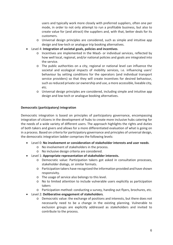users and typically work more closely with preferred suppliers, often one per mode, in order to not only attempt to run a profitable business, but also to create value for (and attract) the suppliers and, with that, better deals for its customers.

- o Universal design principles are considered, such as simple and intuitive app design and low-tech or analogue trip booking alternatives.
- Level 4: **Integration of societal goals, policies and incentives**.
	- o Incentives are implemented in the MaaS- or individual services, reflected by how well local, regional, and/or national policies and goals are integrated into the service.
	- o The public authorities on a city, regional or national level can influence the societal and ecological impacts of mobility services, i.e. influencing users' behaviour by setting conditions for the operators (and individual transport service providers) so that they will create incentives for desired behaviour, such as reduced private car ownership and use, a more accessible, liveable city, etc.
	- o Universal design principles are considered, including simple and intuitive app design and low-tech or analogue booking alternatives.

### **Democratic (participatory) integration**

Democratic integration is based on principles of participatory governance, encompassing integration of citizens in the development of hubs to create more inclusive hubs catering for the needs of a wide variety of different users. The approach highlights the rights and duties of both takers and givers and allows for a more differentiated evaluation of what is going on in a process. Based on criteria for participatory governance and principles of universal design, the democratic integration ladder comprises the following levels:

- Level 0: **No involvement or consideration of stakeholder interests and user needs**.
	- o No involvement of stakeholders in the process.
	- o No inclusive design criteria are considered.
- Level 1: **Appropriate representation of stakeholder interests.**
	- o Democratic value: Participation takers got asked in consultation processes, stakeholder dialogs, or similar formats.
	- o Participation takers have recognized the information provided and have shown responsivity.
	- o The usage of service also belongs to this level.
	- o No to limited attention to include vulnerable users explicitly as participation takers
	- o Participation method: conducting a survey, handing out flyers, brochures, etc.
- Level 2: **Deliberative engagement of stakeholders**.
	- o Democratic value: the exchange of positions and interests, but there does not necessarily need to be a change in the existing planning. Vulnerable to exclusion groups are explicitly addressed as stakeholders and invited to contribute to the process.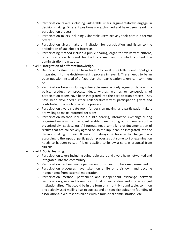- o Participation takers including vulnerable users argumentatively engage in decision-making. Different positions are exchanged and have been heard in a participation process.
- o Participation takers including vulnerable users actively took part in a format offered.
- o Participation givers make an invitation for participation and listen to the articulation of stakeholder interests.
- o Participating method include a public hearing, organized walks with citizens, or an invitation to send feedback via mail and to which content the administration reacts, etc.
- Level 3: **Integration of different knowledge**.
	- o Democratic value: the step from Level 2 to Level 3 is a little fluent. Input gets integrated into the decision-making process in level 3. There needs to be an open question instead of a fixed plan that participation takers can comment on.
	- o Participation takers including vulnerable users actively argue or deny with a policy, product, or process. Ideas, wishes, worries or conceptions of participation takers have been integrated into the participation process. They have been developed further collaboratively with participation givers and contributed to an outcome of the process.
	- o Participation givers create room for decision making, and participation takers are willing to make informed decisions.
	- o Participation method include a public hearing, interactive exchange during organized walks with citizens, vulnerable to exclusion groups, members of the organized civil society, etc. All formats need some kind of documentation of results that are collectively agreed on so the input can be integrated into the decision-making process. It may not always be feasible to change plans according to the input of participation processes but some sort of examination needs to happen to see if it us possible to follow a certain proposal from citizens.
- Level 4: **Social learning.**
	- o Participation takers including vulnerable users and givers have networked and integrated into the community.
	- o Participation has been made permanent or is meant to become permanent.
	- o Participation processes have taken on a life of their own and become independent from external moderation.
	- o Participation method: permanent and independent exchange between participation givers and takers, so mutual understanding and interaction get institutionalized. That could be in the form of a monthly round table, common and actively used mailing lists to correspond on specific topics, the founding of associations, fixed responsibilities within municipal administration, etc.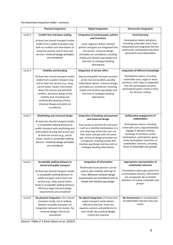*The SmartHubs integration ladder - summary*

|         | <b>Physical integration</b>                                                                                                                                                                                                                                                                                                                            | <b>Digital integration</b>                                                                                                                                                                                                                                                                                                            | <b>Democratic integration</b>                                                                                                                                                                                                                                                            |
|---------|--------------------------------------------------------------------------------------------------------------------------------------------------------------------------------------------------------------------------------------------------------------------------------------------------------------------------------------------------------|---------------------------------------------------------------------------------------------------------------------------------------------------------------------------------------------------------------------------------------------------------------------------------------------------------------------------------------|------------------------------------------------------------------------------------------------------------------------------------------------------------------------------------------------------------------------------------------------------------------------------------------|
| Level 4 | <b>Conflict free and place making</b><br>At least two shared transport modes<br>visible from a public transport stop<br>with no conflicts and information of<br>using the services and at least two<br>services. Universal design principles<br>are considered                                                                                         | Integration of societal goals, policies<br>and incentives<br>Local, regional, and/or national<br>policies and goals are integrated into<br>the service. Universal design<br>principles are considered, including<br>simple and intuitive app design and<br>low-tech or analogue booking<br>alternatives                               | <b>Social learning</b><br>Participation takers and givers,<br>including vulnerable users, have<br>networked and integrated into the<br>community, participation becomes<br>permanent and independent                                                                                     |
| Level 3 | <b>Visibility and branding</b>                                                                                                                                                                                                                                                                                                                         | <b>Integration of service offers</b>                                                                                                                                                                                                                                                                                                  | Integration of different knowledge                                                                                                                                                                                                                                                       |
|         | At least two shared transport modes<br>visible from a public transport stop<br>and at least one service (e.g., shop,<br>parcel locker, kiosk), information<br>about the service and potential<br>conflicts, attractive design of the<br>mobility hub, branding and<br>aesthetically pleasing scheme.<br>Universal design principles are<br>considered. | Shared and public transport services<br>at the hub are bundled, possibly<br>subscription-based. Universal design<br>principles are considered, including<br>simple and intuitive app design and<br>low-tech or analogue booking<br>alternatives                                                                                       | Participation takers, including<br>vulnerable users, argue or deny<br>positions, their input is integrated<br>into the participation process,<br>participation givers create a room<br>for decision making                                                                               |
| Level 2 | Wayfinding and universal design                                                                                                                                                                                                                                                                                                                        | Integration of booking and payment                                                                                                                                                                                                                                                                                                    | Deliberative engagement of<br><b>stakeholders</b>                                                                                                                                                                                                                                        |
|         | At least two shared transport modes<br>in acceptable walking distance to<br>public transport with wayfinding and<br>information of using the service and<br>at least one service (e.g., parcel<br>locker, kiosk) in acceptable walking<br>distance. Universal design principles<br>are considered                                                      | and universal design<br>Easy access to services for end users<br>- such as a mobility marketplace or a<br>one-stop shop where the user can<br>find, book, and pay with the same<br>app. Universal design principles are<br>considered, including simple and<br>intuitive app design and low-tech or<br>analogue booking alternatives. | Participation takers, including<br>vulnerable users, argumentatively<br>engage in decision-making,<br>exchange of positions, active<br>participation, participation givers<br>invite participation and listen to<br>stakeholder interests, including<br>those of vulnerable user groups. |
| Level 1 | Acceptable walking distance to                                                                                                                                                                                                                                                                                                                         | <b>Integration of information</b>                                                                                                                                                                                                                                                                                                     | Appropriate representation of                                                                                                                                                                                                                                                            |
|         | shared and public transport<br>At least two shared transport modes<br>in acceptable walking distance to<br>public transport and at least one<br>service (e.g., shop, parcel locker,<br>kiosk) in acceptable walking distance.<br>Minimum legal inclusive design<br>requirements are considered                                                         | Multimodal travel planners can be<br>used to plan mobility offerings at<br>hubs. Minimum inclusive design<br>requirements are considered such as<br>simple and intuitive app design.                                                                                                                                                  | stakeholder interests<br>Participation takers got asked into<br>a consultation process, Information<br>are recognized. No or limited<br>attention to involve vulnerable user<br>groups.                                                                                                  |
| Level 0 | No physical integration. One shared<br>transport mode, not at walking<br>distance to public transport, no<br>integration between the modes. No<br>universal design criteria are<br>considered                                                                                                                                                          | No digital integration of shared and<br>public transport mode options<br>offered at the hub. There are<br>separate services and platforms for<br>each mode. No universal design<br>criteria are required                                                                                                                              | No involvement or consideration<br>of stakeholder interests and user<br>needs.                                                                                                                                                                                                           |

*Source: Table 2-1 from Geurs et al. (2022)*